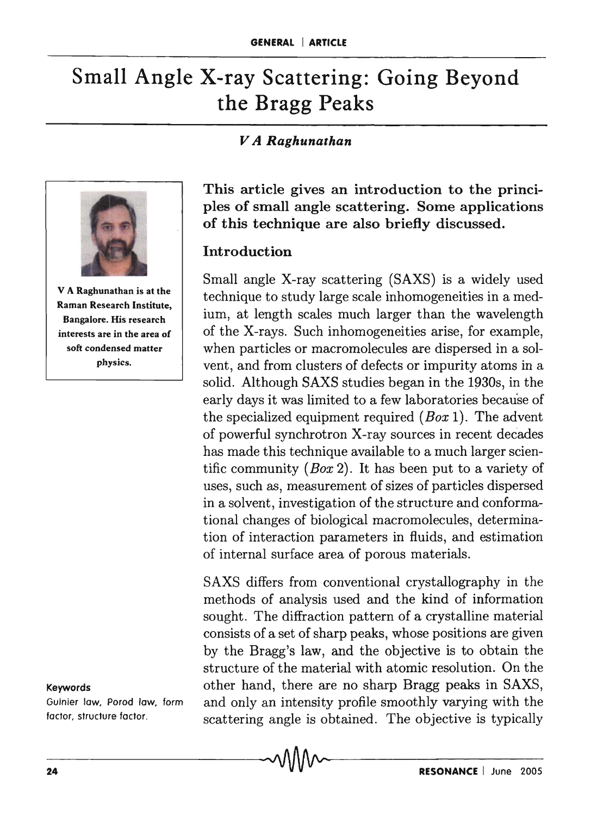# Small Angle X-ray Scattering: Going Beyond the Bragg Peaks

# *V A Raghunathan*



V A Raghunathan is at the Raman Research Institute, Bangalore. His research interests are in the area of soft condensed matter physics.

#### Keywords

Guinier law, Porod law, form factor, structure factor.

This article gives an introduction to the principles of small angle scattering. Some applications of this technique are also briefly discussed.

## Introduction

Small angle X-ray scattering (SAXS) is a widely used technique to study large scale inhomogeneities in a medium, at length scales much larger than the wavelength of the X-rays. Such inhomogeneities arise, for example, when particles or macromolecules are dispersed in a solvent, and from clusters of defects or impurity atoms in a solid. Although SAXS studies began in the 1930s, in the early days it was limited to a few laboratories because of the specialized equipment required *(Box* 1). The advent of powerful synchrotron X-ray sources in recent decades has made this technique available to a much larger scientific community *(Box* 2). It has been put to a variety of uses, such as, measurement of sizes of particles dispersed in a solvent, investigation of the structure and conformational changes of biological macromolecules, determination of interaction parameters in fluids, and estimation of internal surface area of porous materials.

SAXS differs from conventional crystallography in the methods of analysis used and the kind of information sought. The diffraction pattern of a crystalline material consists of a set of sharp peaks, whose positions are given by the Bragg's law, and the objective is to obtain the structure of the material with atomic resolution. On the other hand, there are no sharp Bragg peaks in SAXS, and only an intensity profile smoothly varying with the scattering angle is obtained. The objective is typically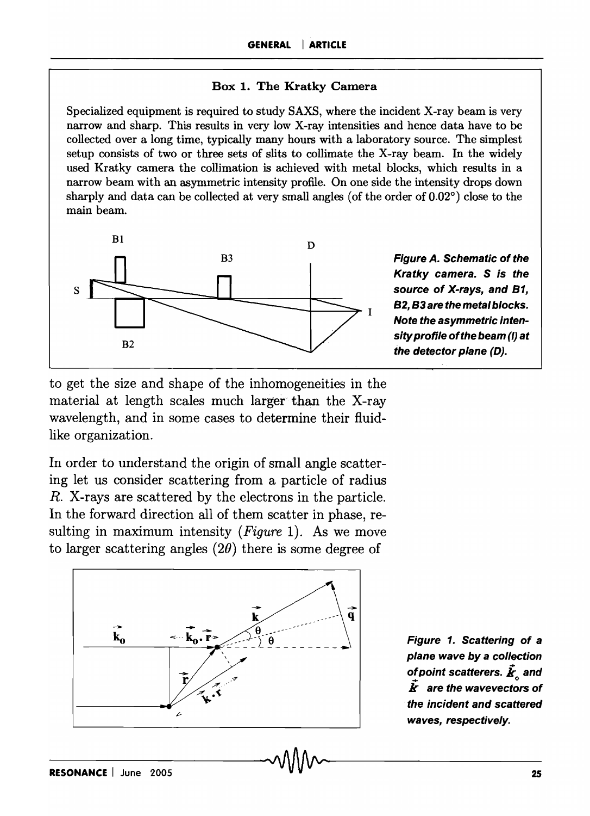#### Box 1. The Kratky Camera

Specialized equipment is required to study SAXS, where the incident X-ray beam is very narrow and sharp. This results in very low X-ray intensities and hence data have to be collected over a long time, typically many hours with a laboratory source. The simplest setup consists of two or three sets of slits to collimate the X-ray beam. In the widely used Kratky camera the collimation is achieved with metal blocks, which results in a narrow beam with an asymmetric intensity profile. On one side the intensity drops down sharply and data can be collected at very small angles (of the order of 0.02°) close to the main beam.



Figure A. Schematic of the Kratky camera. S is the source of X-rays, and B1, 82, 83 are the metal blocks. Note the asymmetric intensity profile of the beam (I) at the detector plane (D).

to get the size and shape of the inhomogeneities in the material at length scales much larger than the X-ray wavelength, and in some cases to determine their fiuidlike organization.

In order to understand the origin of small angle scattering let us consider scattering from a particle of radius R. X-rays are scattered by the electrons in the particle. In the forward direction all of them scatter in phase, resulting in maximum intensity *(Figure* 1). As we move to larger scattering angles  $(2\theta)$  there is some degree of



Figure 1. Scattering of a plane wave by a collection of point scatterers.  $\vec{\bm{k}}_n$  and *k* are the wavevectors of the incident and scattered waves, respectively.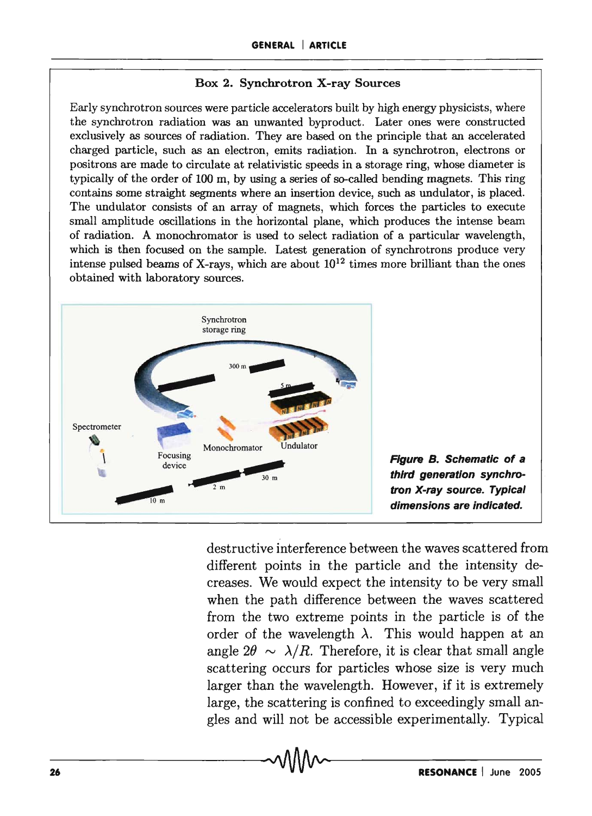#### Box 2. Synchrotron X-ray Sources

Early synchrotron sources were particle accelerators built by high energy physicists, where the synchrotron radiation was an unwanted byproduct. Later ones were constructed exclusively as sources of radiation. They are based on the principle that an accelerated charged particle, such as an electron, emits radiation. In a synchrotron, electrons or positrons are made to circulate at relativistic speeds in a storage ring, whose diameter is typically of the order of 100 m, by using a series of so-called bending magnets. This ring contains some straight segments where an insertion device, such as undulator, is placed. The undulator consists of an array of magnets, which forces the particles to execute small amplitude oscillations in the horizontal plane, which produces the intense beam of radiation. A monochromator is used to select radiation of a particular wavelength, which is then focused on the sample. Latest generation of synchrotrons produce very intense pulsed beams of X-rays, which are about  $10^{12}$  times more brilliant than the ones obtained with laboratory sources.



destructive interference between the waves scattered from different points in the particle and the intensity decreases. We would expect the intensity to be very small when the path difference between the waves scattered from the two extreme points in the particle is of the order of the wavelength  $\lambda$ . This would happen at an angle  $2\theta \sim \lambda/R$ . Therefore, it is clear that small angle scattering occurs for particles whose size is very much larger than the wavelength. However, if it is extremely large, the scattering is confined to exceedingly small angles and will not be accessible experimentally. Typical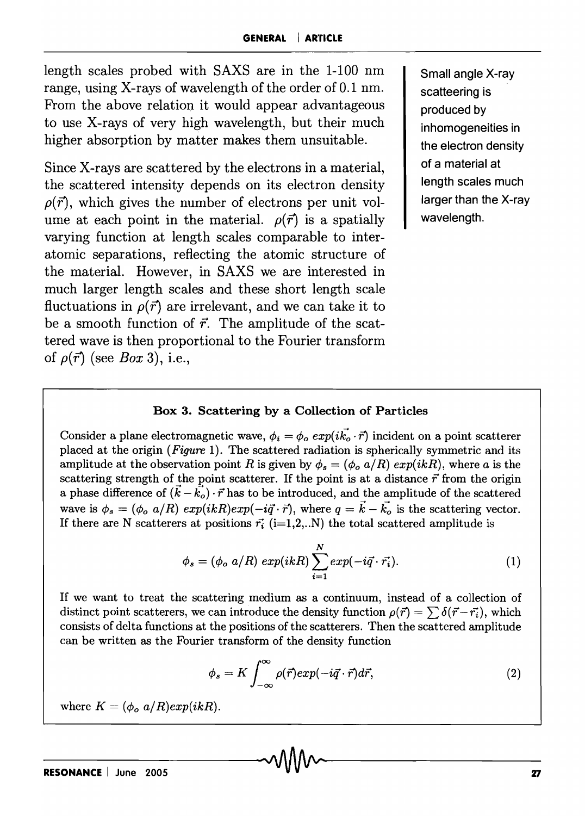length scales probed with SAXS are in the 1-100 nm range, using X-rays of wavelength of the order of 0.1 nm. From the above relation it would appear advantageous to use X-rays of very high wavelength, but their much higher absorption by matter makes them unsuitable.

Since X-rays are scattered by the electrons in a material, the scattered intensity depends on its electron density  $\rho(\vec{r})$ , which gives the number of electrons per unit volume at each point in the material.  $\rho(\vec{r})$  is a spatially varying function at length scales comparable to interatomic separations, reflecting the atomic structure of the material. However, in SAXS we are interested in much larger length scales and these short length scale fluctuations in  $\rho(\vec{r})$  are irrelevant, and we can take it to be a smooth function of *r.* The amplitude of the scattered wave is then proportional to the Fourier transform of  $\rho(\vec{r})$  (see *Box* 3), i.e.,

Small angle X-ray scatteering is produced by inhomogeneities in the electron density of a material at length scales much larger than the X-ray wavelength.

#### Box 3. Scattering by a Collection of Particles

Consider a plane electromagnetic wave,  $\phi_i = \phi_o \exp(i\vec{k_o} \cdot \vec{r})$  incident on a point scatterer placed at the origin *(Figure* 1). The scattered radiation is spherically symmetric and its amplitude at the observation point *R* is given by  $\phi_s = (\phi_o a/R) exp(ikR)$ , where *a* is the scattering strength of the point scatterer. If the point is at a distance  $\vec{r}$  from the origin a phase difference of  $(k - k_o) \cdot \vec{r}$  has to be introduced, and the amplitude of the scattered wave is  $\phi_s = (\phi_o \ a/R) \ exp(ikR) exp(-i\vec{q}\cdot\vec{r})$ , where  $q = \vec{k} - \vec{k_o}$  is the scattering vector. If there are N scatterers at positions  $\vec{r_i}$  (i=1,2,..N) the total scattered amplitude is

$$
\phi_s = (\phi_o \ a/R) \ exp(ikR) \sum_{i=1}^{N} \exp(-i\vec{q} \cdot \vec{r_i}). \tag{1}
$$

If we want to treat the scattering medium as a continuum, instead of a collection of distinct point scatterers, we can introduce the density function  $\rho(\vec{r}) = \sum \delta(\vec{r} - \vec{r}_i)$ , which consists of delta functions at the positions of the scatterers. Then the scattered amplitude can be written as the Fourier transform of the density function

$$
\phi_s = K \int_{-\infty}^{\infty} \rho(\vec{r}) exp(-i\vec{q} \cdot \vec{r}) d\vec{r}, \qquad (2)
$$

where  $K = (\phi_o \ a/R) exp(ikR)$ .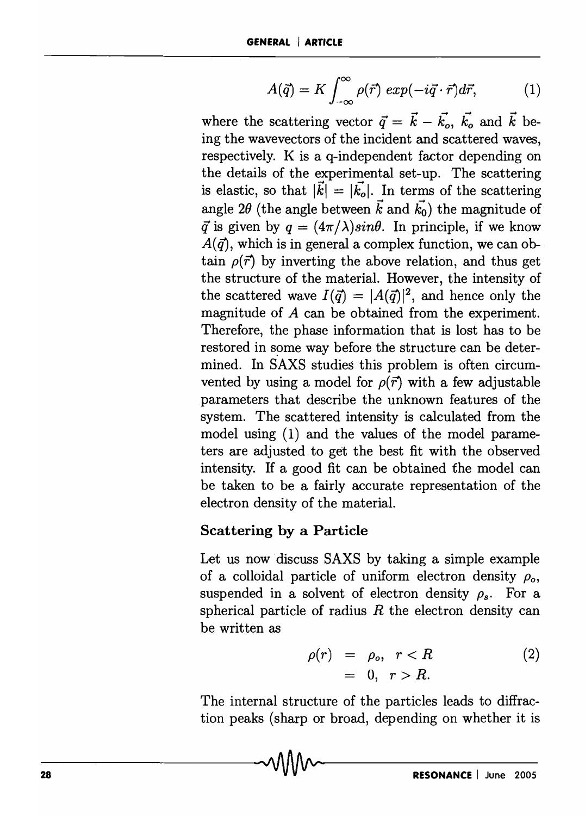$$
A(\vec{q}) = K \int_{-\infty}^{\infty} \rho(\vec{r}) \exp(-i\vec{q} \cdot \vec{r}) d\vec{r}, \qquad (1)
$$

where the scattering vector  $\vec{q} = \vec{k} - \vec{k_o}$ ,  $\vec{k_o}$  and  $\vec{k}$  being the wavevectors of the incident and scattered waves, respectively. K is a q-independent factor depending on the details of the experimental set-up. The scattering is elastic, so that  $|\vec{k}| = |\vec{k}_{o}|$ . In terms of the scattering angle 2 $\theta$  (the angle between  $\vec{k}$  and  $\vec{k_0}$ ) the magnitude of  $\vec{q}$  is given by  $q = (4\pi/\lambda)sin\theta$ . In principle, if we know  $A(\vec{q})$ , which is in general a complex function, we can obtain  $\rho(\vec{r})$  by inverting the above relation, and thus get the structure of the material. However, the intensity of the scattered wave  $I(\vec{q}) = |A(\vec{q})|^2$ , and hence only the magnitude of A can be obtained from the experiment. Therefore, the phase information that is lost has to be restored in some way before the structure can be determined. In SAXS studies this problem is often circumvented by using a model for  $\rho(\vec{r})$  with a few adjustable parameters that describe the unknown features of the system. The scattered intensity is calculated from the model using (1) and the values of the model parameters are adjusted to get the best fit with the observed intensity. If a good fit can be obtained the model can be taken to be a fairly accurate representation of the electron density of the material.

# Scattering by a Particle

Let us now discuss SAXS by taking a simple example of a colloidal particle of uniform electron density  $\rho_o$ , suspended in a solvent of electron density  $\rho_s$ . For a spherical particle of radius *R* the electron density can be written as

$$
o(r) = \rho_o, \quad r < R \tag{2}
$$
\n
$$
= 0, \quad r > R.
$$

The internal structure of the particles leads to diffraction peaks (sharp or broad, depending on whether it is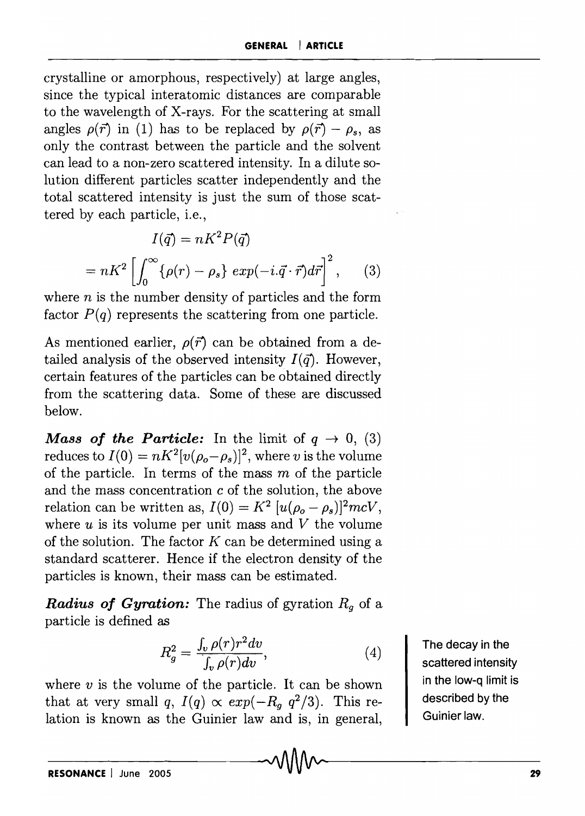crystalline or amorphous, respectively) at large angles, since the typical interatomic distances are comparable to the wavelength of X-rays. For the scattering at small angles  $\rho(\vec{r})$  in (1) has to be replaced by  $\rho(\vec{r}) - \rho_s$ , as only the contrast between the particle and the solvent can lead to a non-zero scattered intensity. In a dilute solution different particles scatter independently and the total scattered intensity is just the sum of those scattered by each particle, i.e.,

$$
I(\vec{q}) = nK^2 P(\vec{q})
$$

$$
= nK^2 \left[ \int_0^\infty {\{\rho(r) - \rho_s\} \exp(-i.\vec{q} \cdot \vec{r}) d\vec{r}} \right]^2, \qquad (3)
$$

where *n* is the number density of particles and the form factor  $P(q)$  represents the scattering from one particle.

As mentioned earlier,  $\rho(\vec{r})$  can be obtained from a detailed analysis of the observed intensity  $I(\vec{q})$ . However, certain features of the particles can be obtained directly from the scattering data. Some of these are discussed below.

*Mass of the Particle:* In the limit of  $q \rightarrow 0$ , (3) reduces to  $I(0) = nK^2[v(\rho_o-\rho_s)]^2$ , where *v* is the volume of the particle. In terms of the mass  $m$  of the particle and the mass concentration c of the solution, the above relation can be written as,  $I(0) = K^2 [u(\rho_o - \rho_s)]^2 mcV$ , where  $u$  is its volume per unit mass and  $V$  the volume of the solution. The factor *K* can be determined using a standard scatterer. Hence if the electron density of the particles is known, their mass can be estimated.

*Radius oj Gyration:* The radius of gyration *Rg* of a particle is defined as

$$
R_g^2 = \frac{\int_v \rho(r)r^2 dv}{\int_v \rho(r) dv},\tag{4}
$$

where  $v$  is the volume of the particle. It can be shown that at very small *q*,  $I(q) \propto exp(-R_q q^2/3)$ . This relation is known as the Guinier law and is, in general, The decay in the scattered intensity in the low-q limit is described by the Guinier law.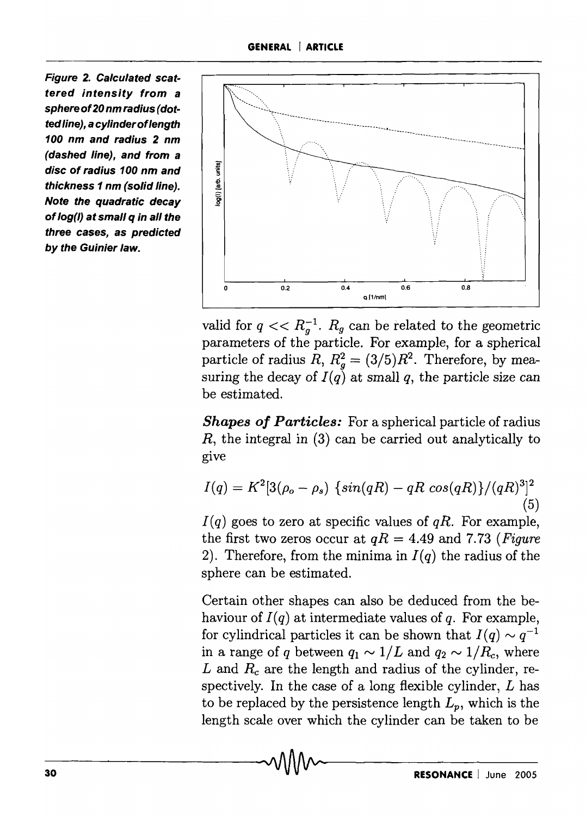Figure 2. Calculated scattered intensity from a sphere of20 nm radius (dotted line), a cylinderoflength 100 nm and radius 2 nm (dashed line), and from a disc of radius 100 nm and thickness 1 nm (solid line). Note the quadratic decay of log(l) at small q in all the three cases, as predicted by the Guinier law.



valid for  $q \ll R_q^{-1}$ .  $R_g$  can be related to the geometric parameters of the particle. For example, for a spherical particle of radius  $R, R_q^2 = (3/5)R^2$ . Therefore, by measuring the decay of  $I(q)$  at small q, the particle size can be estimated.

*Shapes of Particles:* For a spherical particle of radius  $R$ , the integral in  $(3)$  can be carried out analytically to give

$$
I(q) = K^2 [3(\rho_o - \rho_s) \{ \sin(qR) - qR \cos(qR) \}/(qR)^3]^2
$$
\n(5)

 $I(q)$  goes to zero at specific values of  $qR$ . For example, the first two zeros occur at  $qR = 4.49$  and 7.73 *(Figure*) 2). Therefore, from the minima in  $I(q)$  the radius of the sphere can be estimated.

Certain other shapes can also be deduced from the behaviour of  $I(q)$  at intermediate values of q. For example, for cylindrical particles it can be shown that  $I(q) \sim q^{-1}$ . in a range of q between  $q_1 \sim 1/L$  and  $q_2 \sim 1/R_c$ , where L and  $R_c$  are the length and radius of the cylinder, respectively. In the case of a long flexible cylinder,  $L$  has to be replaced by the persistence length  $L_p$ , which is the length scale over which the cylinder can be taken to be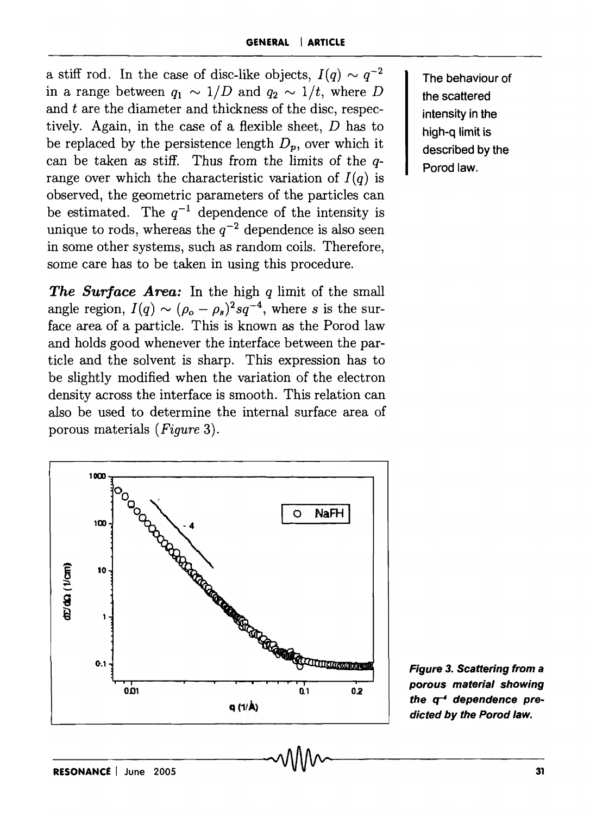a stiff rod. In the case of disc-like objects,  $I(q) \sim q^{-2}$ in a range between  $q_1 \sim 1/D$  and  $q_2 \sim 1/t$ , where D and *t* are the diameter and thickness of the disc, respectively. Again, in the case of a flexible sheet, D has to be replaced by the persistence length  $D_p$ , over which it can be taken as stiff. Thus from the limits of the qrange over which the characteristic variation of  $I(q)$  is observed, the geometric parameters of the particles can be estimated. The  $q^{-1}$  dependence of the intensity is unique to rods, whereas the  $q^{-2}$  dependence is also seen in some other systems, such as random coils. Therefore, some care has to be taken in using this procedure.

*The Sur/ace A rea:* In the high *q* limit of the small angle region,  $I(q) \sim (\rho_o - \rho_s)^2 sq^{-4}$ , where *s* is the surface area of a particle. This is known as the Porod law and holds good whenever the interface between the particle and the solvent is sharp. This expression has to be slightly modified when the variation of the electron density across the interface is smooth. This relation can also be used to determine the internal surface area of porous materials *(Figure 3).* 

The behaviour of the scattered intensity in the high-q limit is described by the Porod law.



Figure 3. Scattering from a porous material showing the  $q^{-4}$  dependence predicted by the Porod law.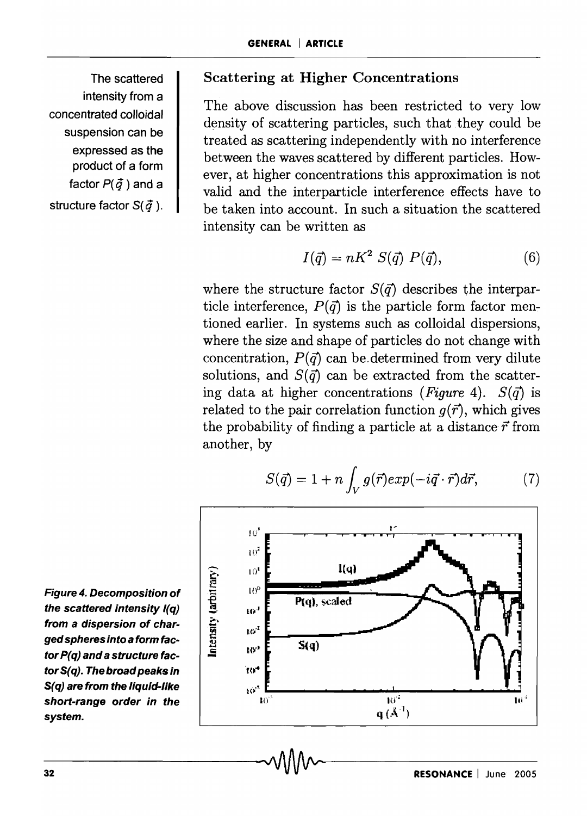The scattered intensity from a concentrated colloidal suspension can be expressed as the product of a form factor  $P(\vec{q})$  and a structure factor S( *q* ).

### Scattering at Higher Concentrations

The above discussion has been restricted to very low density of scattering particles, such that they could be treated as scattering independently with no interference between the waves scattered by different particles. However, at higher concentrations this approximation is not valid and the interparticle interference effects have to be taken into account. In such a situation the scattered intensity can be written as

$$
I(\vec{q}) = nK^2 S(\vec{q}) P(\vec{q}), \qquad (6)
$$

where the structure factor  $S(\vec{q})$  describes the interparticle interference,  $P(\vec{q})$  is the particle form factor mentioned earlier. In systems such as colloidal dispersions, where the size and shape of particles do not change with concentration,  $P(\vec{q})$  can be determined from very dilute solutions, and  $S(\vec{q})$  can be extracted from the scattering data at higher concentrations *(Figure 4).*  $S(\vec{q})$  is related to the pair correlation function  $q(\vec{r})$ , which gives the probability of finding a particle at a distance  $\vec{r}$  from another, by

$$
S(\vec{q}) = 1 + n \int_{V} g(\vec{r}) exp(-i\vec{q} \cdot \vec{r}) d\vec{r}, \qquad (7)
$$



Figure 4. Decomposition of the scattered intensity I(q) from a dispersion of charged spheres into a form factor P(q) and a structure factor S(q). The broad peaks in  $S(q)$  are from the liquid-like short-range order in the system.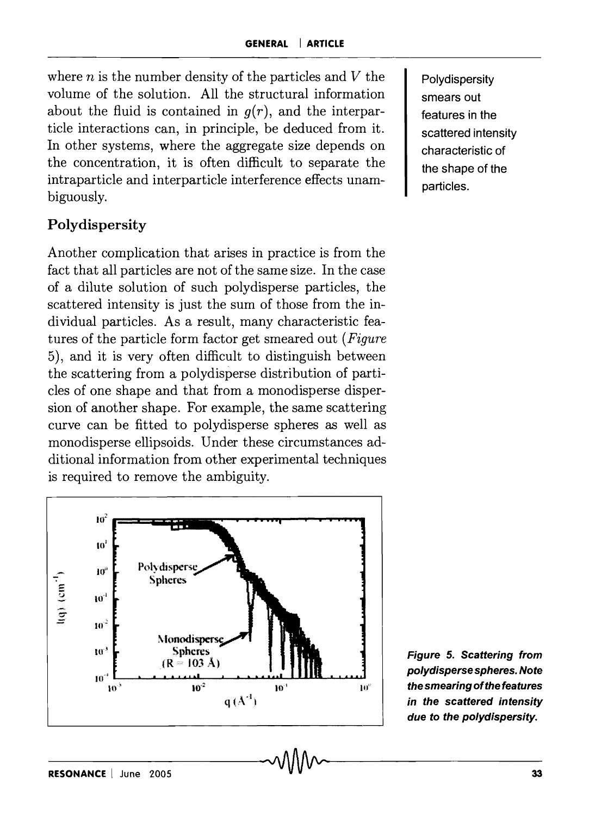where  $n$  is the number density of the particles and  $V$  the volume of the solution. All the structural information about the fluid is contained in *g(r),* and the interparticle interactions can, in principle, be deduced from it. In other systems, where the aggregate size depends on the concentration, it is often difficult to separate the intraparticle and interparticle interference effects unambiguously.

# Polydispersity

Another complication that arises in practice is from the fact that all particles are not of the same size. In the case of a dilute solution of such polydisperse particles, the scattered intensity is just the sum of those from the individual particles. As a result, many characteristic features of the particle form factor get smeared out *(Figure*  5), and it is very often difficult to distinguish between the scattering from a polydisperse distribution of particles of one shape and that from a monodisperse dispersion of another shape. For example, the same scattering curve can be fitted to polydisperse spheres as well as monodisperse ellipsoids. Under these circumstances additional information from other experimental techniques is required to remove the ambiguity.



Polydispersity smears out features in the scattered intensity characteristic of the shape of the particles.

Figure 5. Scattering from polydisperse spheres. Note the smearing of the features in the scattered intensity due to the polydispersity.